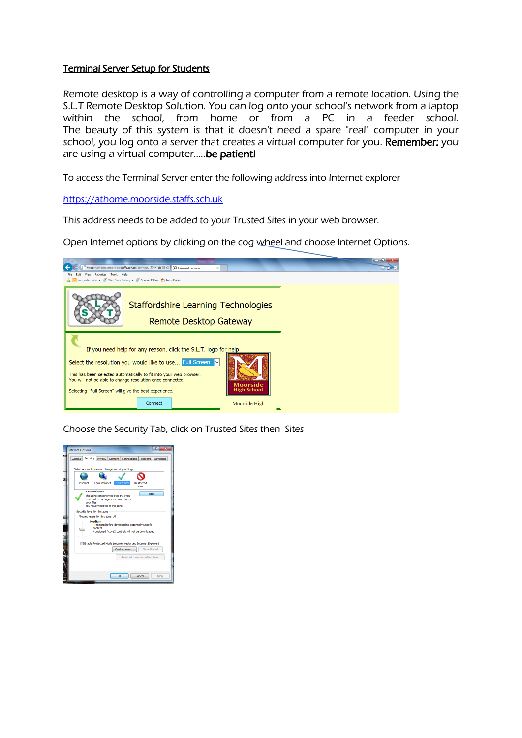## Terminal Server Setup for Students

Remote desktop is a way of controlling a computer from a remote location. Using the S.L.T Remote Desktop Solution. You can log onto your school's network from a laptop within the school, from home or from a PC in a feeder school. The beauty of this system is that it doesn't need a spare "real" computer in your school, you log onto a server that creates a virtual computer for you. Remember: you are using a virtual computer..... be patient!

To access the Terminal Server enter the following address into Internet explorer

## [https://athome.moorside.staffs.sch.uk](https://athome.moorside.staffs.sch.uk/)

This address needs to be added to your Trusted Sites in your web browser.

Open Internet options by clicking on the cog wheel and choose Internet Options.



Choose the Security Tab, click on Trusted Sites then Sites